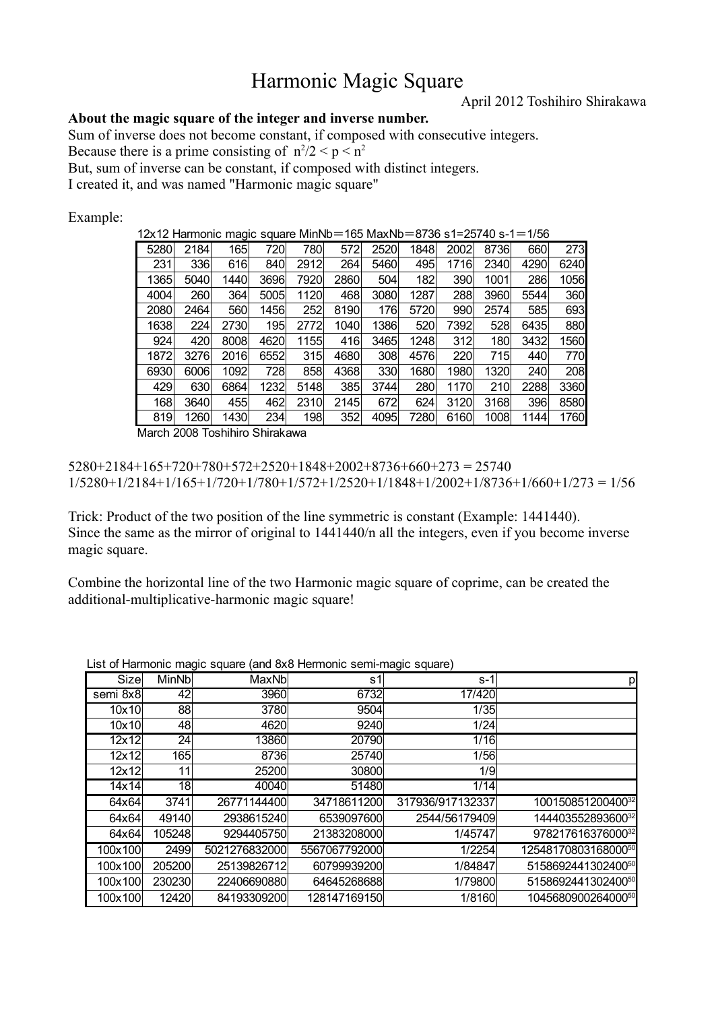# Harmonic Magic Square

April 2012 Toshihiro Shirakawa

### **About the magic square of the integer and inverse number.**

Sum of inverse does not become constant, if composed with consecutive integers.

Because there is a prime consisting of  $n^2/2 < p < n^2$ 

But, sum of inverse can be constant, if composed with distinct integers.

I created it, and was named "Harmonic magic square"

Example:

12x12 Harmonic magic square MinNb=165 MaxNb=8736 s1=25740 s-1=1/56

| 5280 | 2184 | 165  | 720  | 780  | 572  | 2520 | 1848 | 2002 | 8736 | 660  | <b>273</b>   |
|------|------|------|------|------|------|------|------|------|------|------|--------------|
| 231  | 336  | 616  | 840  | 2912 | 264  | 5460 | 495  | 1716 | 2340 | 4290 | 6240         |
| 1365 | 5040 | 1440 | 3696 | 7920 | 2860 | 504  | 182  | 390  | 1001 | 286  | 1056         |
| 4004 | 260  | 364  | 5005 | 1120 | 468  | 3080 | 1287 | 288  | 3960 | 5544 | 360          |
| 2080 | 2464 | 560  | 1456 | 252  | 8190 | 176  | 5720 | 990  | 2574 | 585  | 693          |
| 1638 | 224  | 2730 | 195  | 2772 | 1040 | 1386 | 520  | 7392 | 528  | 6435 | 880          |
| 924  | 420  | 8008 | 4620 | 1155 | 416  | 3465 | 1248 | 312  | 180  | 3432 | 1560         |
| 1872 | 3276 | 2016 | 6552 | 315  | 4680 | 308  | 4576 | 220  | 715  | 440  | 770 <b>1</b> |
| 6930 | 6006 | 1092 | 728  | 858  | 4368 | 330  | 1680 | 1980 | 1320 | 240  | 208          |
| 429  | 630  | 6864 | 1232 | 5148 | 385  | 3744 | 280  | 1170 | 210  | 2288 | 3360         |
| 168  | 3640 | 455  | 462  | 2310 | 2145 | 672  | 624  | 3120 | 3168 | 396  | 8580         |
| 819  | 1260 | 1430 | 234  | 198  | 352  | 4095 | 7280 | 6160 | 1008 | 1144 | 1760         |

March 2008 Toshihiro Shirakawa

 $5280+2184+165+720+780+572+2520+1848+2002+8736+660+273=25740$ 1/5280+1/2184+1/165+1/720+1/780+1/572+1/2520+1/1848+1/2002+1/8736+1/660+1/273 = 1/56

Trick: Product of the two position of the line symmetric is constant (Example: 1441440). Since the same as the mirror of original to 1441440/n all the integers, even if you become inverse magic square.

Combine the horizontal line of the two Harmonic magic square of coprime, can be created the additional-multiplicative-harmonic magic square!

|          |              |               | and ono nomino sommmagio oquaro, |                  |                     |
|----------|--------------|---------------|----------------------------------|------------------|---------------------|
| Size     | <b>MinNb</b> | MaxNb         | s1                               | s-1              | р                   |
| semi 8x8 | 42           | 3960          | 6732                             | 17/420           |                     |
| 10x10    | 88           | 3780          | 9504                             | 1/35             |                     |
| 10x10    | 48           | 4620          | 9240                             | 1/24             |                     |
| 12x12    | 24           | 13860         | 20790                            | 1/16             |                     |
| 12x12    | 165          | 8736          | 25740                            | 1/56             |                     |
| 12x12    | 11           | 25200         | 30800                            | 1/9              |                     |
| 14x14    | 18           | 40040         | 51480                            | 1/14             |                     |
| 64x64    | 3741         | 26771144400   | 34718611200                      | 317936/917132337 | 10015085120040032   |
| 64x64    | 49140        | 2938615240    | 6539097600                       | 2544/56179409    | 14440355289360032   |
| 64x64    | 105248       | 9294405750    | 21383208000                      | 1/45747          | 97821761637600032   |
| 100x100  | 2499         | 5021276832000 | 5567067792000                    | 1/2254           | 1254817080316800050 |
| 100x100  | 205200       | 25139826712   | 60799939200                      | 1/84847          | 515869244130240050  |
| 100x100  | 230230       | 22406690880   | 64645268688                      | 1/79800          | 515869244130240050  |
| 100x100  | 12420        | 84193309200   | 128147169150                     | 1/8160           | 104568090026400050  |

List of Harmonic magic square (and 8x8 Hermonic semi-magic square)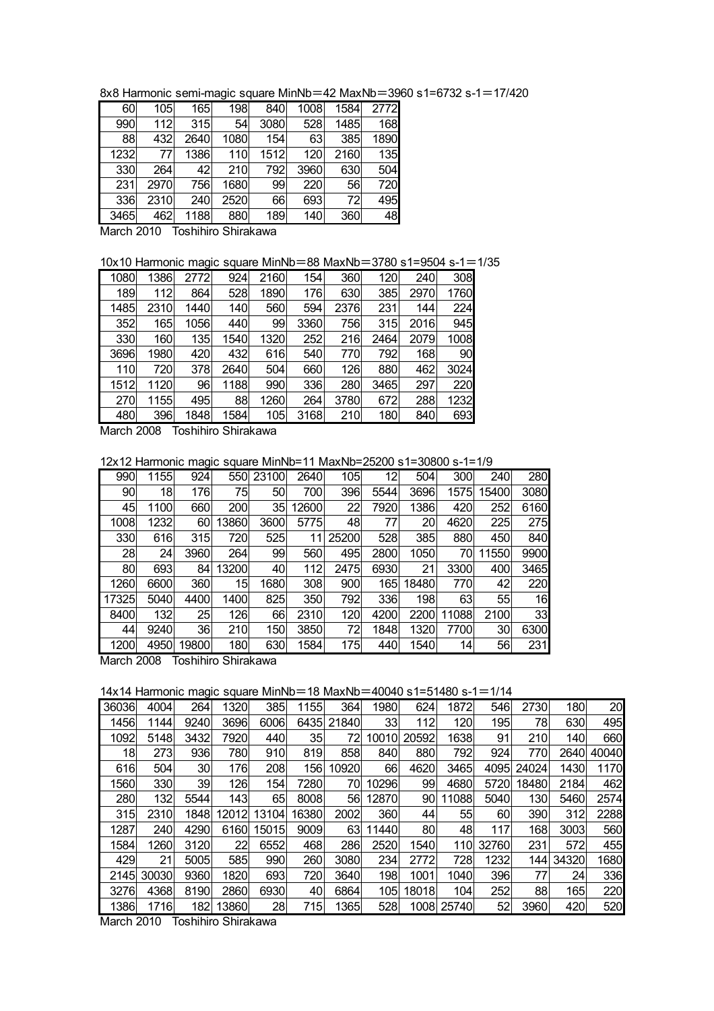8x8 Harmonic semi-magic square MinNb=42 MaxNb=3960 s1=6732 s-1=17/420

| 2772<br>105<br>165<br>198<br>840<br>1008<br>1584<br>60<br>315<br>1485<br>168<br>990<br>3080<br>528<br>112<br>54<br>1890<br>88<br>1080<br>63<br>385<br>154<br>432<br>2640 |
|--------------------------------------------------------------------------------------------------------------------------------------------------------------------------|
|                                                                                                                                                                          |
|                                                                                                                                                                          |
|                                                                                                                                                                          |
| 1386<br>135<br>1232<br>1512<br>2160<br>110<br>77<br>120                                                                                                                  |
| 792<br>3960<br>630<br>504<br>330<br>42<br>210<br>264                                                                                                                     |
| 720<br>756<br>1680<br>99<br>220<br>56<br>231<br>2970                                                                                                                     |
| 2520<br>693<br>336<br>2310<br>66<br>495<br>240<br>72                                                                                                                     |
| 1188<br>189<br>3465<br>880<br>140<br>462<br>360                                                                                                                          |

March 2010 Toshihiro Shirakawa

10x10 Harmonic magic square MinNb=88 MaxNb=3780 s1=9504 s-1=1/35

| 1080 | 1386 | 2772 | 924  | 2160 | 154  | 360  | 120  | 240  | 308  |
|------|------|------|------|------|------|------|------|------|------|
| 189  | 112  | 864  | 528  | 1890 | 176  | 630  | 385  | 2970 | 1760 |
| 1485 | 2310 | 1440 | 140  | 560  | 594  | 2376 | 231  | 144  | 224  |
| 352  | 165  | 1056 | 440  | 99   | 3360 | 756  | 315  | 2016 | 945  |
| 330  | 160  | 135  | 1540 | 1320 | 252  | 216  | 2464 | 2079 | 1008 |
| 3696 | 1980 | 420  | 432  | 616  | 540  | 770  | 792  | 168  | 90   |
| 110  | 720  | 378  | 2640 | 504  | 660  | 126  | 880  | 462  | 3024 |
| 1512 | 1120 | 96   | 1188 | 990  | 336  | 280  | 3465 | 297  | 220  |
| 270  | 1155 | 495  | 88   | 1260 | 264  | 3780 | 672  | 288  | 1232 |
| 480  | 396  | 1848 | 1584 | 105  | 3168 | 210  | 180  | 840  | 693  |

March 2008 Toshihiro Shirakawa

12x12 Harmonic magic square MinNb=11 MaxNb=25200 s1=30800 s-1=1/9

|                 |      | ◡             |                     |       |       |       |      |                 |       |       |            |
|-----------------|------|---------------|---------------------|-------|-------|-------|------|-----------------|-------|-------|------------|
| 990             | 1155 | 924           | 550                 | 23100 | 2640  | 105   | 12   | 504             | 300   | 240   | <b>280</b> |
| 90 <sup>°</sup> | 18   | 176           | 75                  | 50    | 700   | 396   | 5544 | 3696            | 1575  | 15400 | 3080       |
| 45              | 1100 | 660           | 200                 | 35    | 12600 | 22    | 7920 | 1386            | 420   | 252   | 6160       |
| 1008            | 1232 | 60            | 3860                | 3600  | 5775  | 48    | 77   | 20 <sub>2</sub> | 4620  | 225   | 275        |
| 330             | 616  | 315           | 720                 | 525   | 11    | 25200 | 528  | 385             | 880   | 450   | 840        |
| 28              | 24   | 3960          | 264                 | 99    | 560   | 495   | 2800 | 1050            | 70    | 11550 | 9900       |
| 80              | 693  | 84            | 13200               | 40    | 112   | 2475  | 6930 | 21              | 3300  | 400   | 3465       |
| 1260            | 6600 | 360           | 15                  | 1680  | 308   | 900   | 165  | 18480           | 770   | 42    | 220        |
| 17325           | 5040 | 4400          | 1400                | 825   | 350   | 792   | 336  | 198             | 63    | 55    | 16         |
| 8400            | 132  | 25            | 126                 | 66    | 2310  | 120   | 4200 | 2200            | 11088 | 2100  | 33         |
| 44              | 9240 | 36            | 210                 | 150   | 3850  | 72    | 1848 | 1320            | 7700  | 30    | 6300       |
| 1200            | 4950 | 19800         | 180                 | 630   | 1584  | 175   | 440  | 1540            | 14    | 56    | 231        |
|                 |      | — <u>1980</u> | <b></b><br>11 10000 |       |       |       |      |                 |       |       |            |

March 2008 Toshihiro Shirakawa

14x14 Harmonic magic square MinNb=18 MaxNb=40040 s1=51480 s-1=1/14

| 36036<br>4004<br>385<br>1155<br>364<br>624<br>1872<br>2730<br>264<br>1320<br>1980<br>546           |               |
|----------------------------------------------------------------------------------------------------|---------------|
|                                                                                                    | 180<br>20     |
| $33$<br>120<br>195<br>78<br>1456<br>1144<br>3696<br>6006<br>6435<br>21840<br>112<br>9240           | 630<br>495    |
| 1638<br>1092<br>3432<br>7920<br>440<br>35<br>20592<br>5148<br>91<br>210<br>72<br>10010             | 140<br>660    |
| 18<br>273<br>936<br>780<br>910<br>819<br>858<br>880<br>792<br>924<br>770<br>840                    | 40040<br>2640 |
| 504<br>30 <sup>2</sup><br>208<br>616<br>176<br>66<br>4620<br>3465<br>156<br>10920<br>4095<br>24024 | 1430<br>1170  |
| 1560<br>330<br>39<br>126<br>154<br>99<br>7280<br>10296<br>4680<br>70<br>5720<br>18480              | 462<br>2184   |
| 132<br>280<br>65<br>8008<br>12870<br>5040<br>5544<br>143<br>11088<br>130<br>56<br>90               | 2574<br>5460  |
| 360<br>315<br>16380<br>2002<br>55<br>60<br>390<br>2310<br>1848<br>44<br>12012<br>13104             | 312<br>2288   |
| 1287<br>117<br>240<br>4290<br>9009<br>63<br>11440<br>80 <sup>°</sup><br>168<br>6160<br>15015<br>48 | 560<br>3003   |
| 1584<br>22<br>6552<br>468<br>2520<br>1260<br>3120<br>286<br>32760<br>231<br>1540<br>110            | 572<br>455    |
| 429<br>585<br>990<br>260<br>21<br>5005<br>3080<br>234<br>2772<br>728<br>1232<br>144                | 1680<br>34320 |
| 693<br>720<br>198<br>396<br>77<br>1820<br>3640<br>1001<br>2145<br>30030<br>9360<br>1040            | 336<br>24     |
| 3276<br>4368<br>6930<br>6864<br>104<br>252<br>88<br>8190<br>2860<br>40<br>105<br>18018             | 165<br>220    |
| 28<br>528<br>52<br>1386<br>1716<br>182<br>13860<br>1365<br>1008 25740<br>3960<br>715               | 520<br>420    |

March 2010 Toshihiro Shirakawa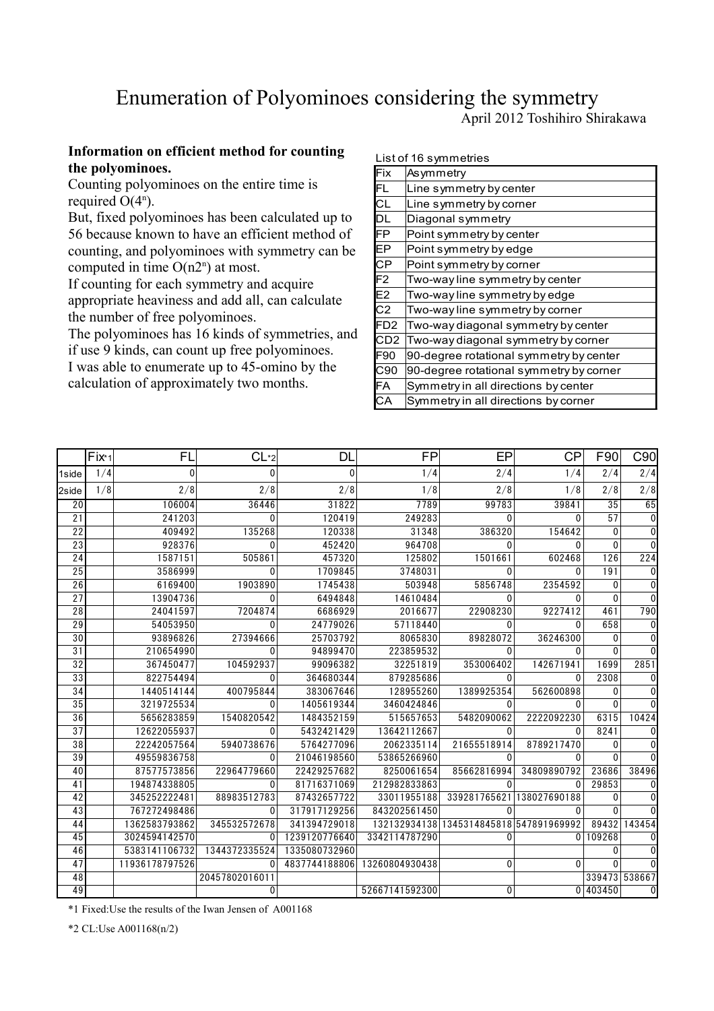## Enumeration of Polyominoes considering the symmetry

April 2012 Toshihiro Shirakawa

## **Information on efficient method for counting the polyominoes.**

Counting polyominoes on the entire time is required  $O(4^n)$ .

But, fixed polyominoes has been calculated up to 56 because known to have an efficient method of counting, and polyominoes with symmetry can be computed in time  $O(n2^n)$  at most.

If counting for each symmetry and acquire appropriate heaviness and add all, can calculate the number of free polyominoes.

The polyominoes has 16 kinds of symmetries, and if use 9 kinds, can count up free polyominoes.

I was able to enumerate up to 45-omino by the calculation of approximately two months.

#### List of 16 symmetries

| Fix                      | Asymmetry                               |
|--------------------------|-----------------------------------------|
| FL                       | Line symmetry by center                 |
| $\overline{\text{CL}}$   | Line symmetry by corner                 |
| DL                       | Diagonal symmetry                       |
| FP                       | Point symmetry by center                |
| $\overline{\mathsf{EP}}$ | Point symmetry by edge                  |
| $\overline{\mathsf{CP}}$ | Point symmetry by corner                |
| $\overline{F2}$          | Two-way line symmetry by center         |
| $\overline{E2}$          | Two-way line symmetry by edge           |
| $\overline{C_2}$         | Two-way line symmetry by corner         |
| FD <sub>2</sub>          | Two-way diagonal symmetry by center     |
| CD2                      | Two-way diagonal symmetry by corner     |
| F <sub>90</sub>          | 90-degree rotational symmetry by center |
| C90                      | 90-degree rotational symmetry by corner |
| FA                       | Symmetry in all directions by center    |
| СA                       | Symmetry in all directions by corner    |

|                 | $Fix_{1}$ | FL             | CL <sub>2</sub> | DL            | <b>FP</b>      | EP                         | <b>CP</b>    | F90             | C90            |
|-----------------|-----------|----------------|-----------------|---------------|----------------|----------------------------|--------------|-----------------|----------------|
| 1side           | 1/4       | $\Omega$       | $\Omega$        | $\Omega$      | 1/4            | 2/4                        | 1/4          | 2/4             | 2/4            |
| 2side           | 1/8       | 2/8            | 2/8             | 2/8           | 1/8            | 2/8                        | 1/8          | 2/8             | 2/8            |
| 20              |           | 106004         | 36446           | 31822         | 7789           | 99783                      | 39841        | $\overline{35}$ | 65             |
| 21              |           | 241203         | 0               | 120419        | 249283         | $\Omega$                   | ∩            | 57              | $\Omega$       |
| $\overline{22}$ |           | 409492         | 135268          | 120338        | 31348          | 386320                     | 154642       | $\Omega$        | 0              |
| 23              |           | 928376         | U               | 452420        | 964708         | 0                          |              | $\Omega$        | U              |
| 24              |           | 1587151        | 505861          | 457320        | 125802         | 1501661                    | 602468       | 126             | 224            |
| 25              |           | 3586999        |                 | 1709845       | 3748031        | 0                          |              | 191             | 0              |
| 26              |           | 6169400        | 1903890         | 1745438       | 503948         | 5856748                    | 2354592      | 0               | $\overline{0}$ |
| $\overline{27}$ |           | 13904736       | $\Omega$        | 6494848       | 14610484       | $\Omega$                   | O            | ∩               | $\Omega$       |
| 28              |           | 24041597       | 7204874         | 6686929       | 2016677        | 22908230                   | 9227412      | 461             | 790            |
| $\overline{29}$ |           | 54053950       | U               | 24779026      | 57118440       | $\Omega$                   | $\Omega$     | 658             | $\overline{0}$ |
| 30              |           | 93896826       | 27394666        | 25703792      | 8065830        | 89828072                   | 36246300     | 0               | 0              |
| 31              |           | 210654990      | $\Omega$        | 94899470      | 223859532      | $\Omega$                   | $\Omega$     | $\Omega$        | $\Omega$       |
| $\overline{32}$ |           | 367450477      | 104592937       | 99096382      | 32251819       | 353006402                  | 142671941    | 1699            | 2851           |
| 33              |           | 822754494      |                 | 364680344     | 879285686      | 0                          | $\Omega$     | 2308            | 0              |
| 34              |           | 1440514144     | 400795844       | 383067646     | 128955260      | 1389925354                 | 562600898    | $\Omega$        | $\Omega$       |
| 35              |           | 3219725534     |                 | 1405619344    | 3460424846     | $\Omega$                   |              | $\Omega$        | <sup>0</sup>   |
| 36              |           | 5656283859     | 1540820542      | 1484352159    | 515657653      | 5482090062                 | 2222092230   | 6315            | 10424          |
| $\overline{37}$ |           | 12622055937    | $\Omega$        | 5432421429    | 13642112667    | $\Omega$                   | $\Omega$     | 8241            | 0              |
| 38              |           | 22242057564    | 5940738676      | 5764277096    | 2062335114     | 21655518914                | 8789217470   | $\Omega$        | 0              |
| $\overline{39}$ |           | 49559836758    | $\Omega$        | 21046198560   | 53865266960    | $\Omega$                   | $\Omega$     | $\Omega$        | $\Omega$       |
| 40              |           | 87577573856    | 22964779660     | 22429257682   | 8250061654     | 85662816994                | 34809890792  | 23686           | 38496          |
| 41              |           | 194874338805   | $\Omega$        | 81716371069   | 212982833863   | $\Omega$                   | $\Omega$     | 29853           |                |
| 42              |           | 345252222481   | 88983512783     | 87432657722   | 33011955188    | 339281765621               | 138027690188 | 0               |                |
| 43              |           | 767272498486   |                 | 317917129256  | 843202561450   | 0                          |              |                 |                |
| 44              |           | 1362583793862  | 345532572678    | 341394729018  | 132132934138   | 1345314845818 547891969992 |              | 89432           | 143454         |
| $\overline{45}$ |           | 3024594142570  | $\Omega$        | 1239120776640 | 3342114787290  | $\Omega$                   |              | 0 109268        |                |
| 46              |           | 5383141106732  | 1344372335524   | 1335080732960 |                |                            |              | 0               |                |
| 47              |           | 11936178797526 |                 | 4837744188806 | 13260804930438 | 0                          | $\Omega$     | O               |                |
| 48              |           |                | 20457802016011  |               |                |                            |              | 339473          | 538667         |
| 49              |           |                | $\Omega$        |               | 52667141592300 | 0                          |              | 0 403450        | $\overline{0}$ |

\*1 Fixed:Use the results of the Iwan Jensen of A001168

\*2 CL:Use A001168(n/2)